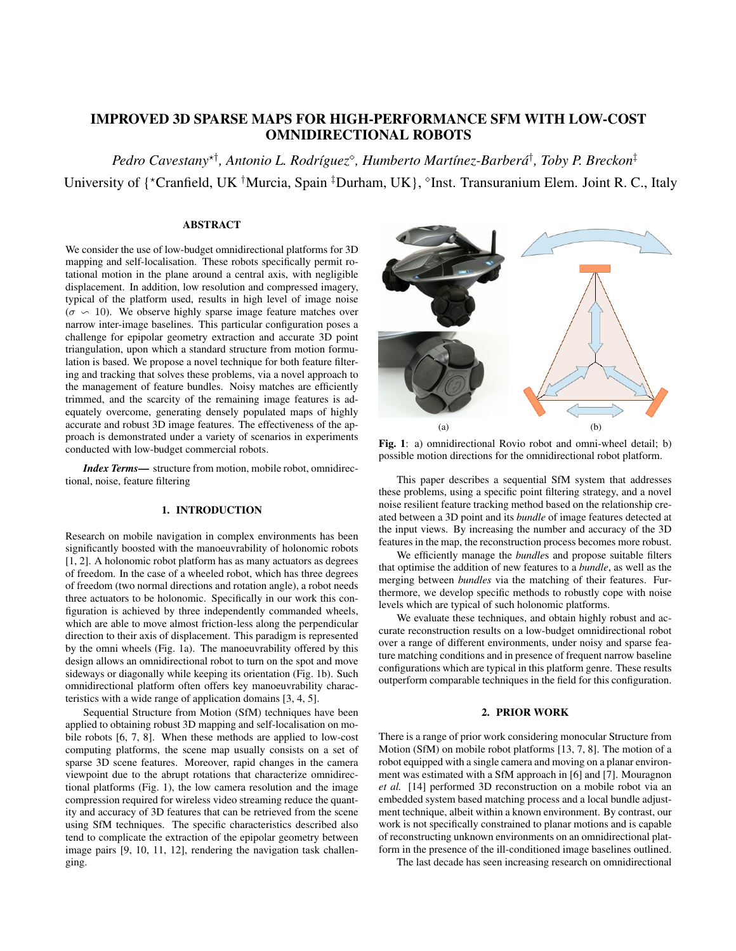# IMPROVED 3D SPARSE MAPS FOR HIGH-PERFORMANCE SFM WITH LOW-COST OMNIDIRECTIONAL ROBOTS

*Pedro Cavestany*<sup>⋆</sup>† *, Antonio L. Rodríguez*<sup>⋄</sup> *, Humberto Martínez-Barberá*† *, Toby P. Breckon*‡ University of {\*Cranfield, UK <sup>†</sup>Murcia, Spain <sup>‡</sup>Durham, UK}, <sup>®</sup>Inst. Transuranium Elem. Joint R. C., Italy

# ABSTRACT

We consider the use of low-budget omnidirectional platforms for 3D mapping and self-localisation. These robots specifically permit rotational motion in the plane around a central axis, with negligible displacement. In addition, low resolution and compressed imagery, typical of the platform used, results in high level of image noise  $(\sigma \backsim 10)$ . We observe highly sparse image feature matches over narrow inter-image baselines. This particular configuration poses a challenge for epipolar geometry extraction and accurate 3D point triangulation, upon which a standard structure from motion formulation is based. We propose a novel technique for both feature filtering and tracking that solves these problems, via a novel approach to the management of feature bundles. Noisy matches are efficiently trimmed, and the scarcity of the remaining image features is adequately overcome, generating densely populated maps of highly accurate and robust 3D image features. The effectiveness of the approach is demonstrated under a variety of scenarios in experiments conducted with low-budget commercial robots.

*Index Terms*— structure from motion, mobile robot, omnidirectional, noise, feature filtering

# 1. INTRODUCTION

Research on mobile navigation in complex environments has been significantly boosted with the manoeuvrability of holonomic robots [1, 2]. A holonomic robot platform has as many actuators as degrees of freedom. In the case of a wheeled robot, which has three degrees of freedom (two normal directions and rotation angle), a robot needs three actuators to be holonomic. Specifically in our work this configuration is achieved by three independently commanded wheels, which are able to move almost friction-less along the perpendicular direction to their axis of displacement. This paradigm is represented by the omni wheels (Fig. 1a). The manoeuvrability offered by this design allows an omnidirectional robot to turn on the spot and move sideways or diagonally while keeping its orientation (Fig. 1b). Such omnidirectional platform often offers key manoeuvrability characteristics with a wide range of application domains [3, 4, 5].

Sequential Structure from Motion (SfM) techniques have been applied to obtaining robust 3D mapping and self-localisation on mobile robots [6, 7, 8]. When these methods are applied to low-cost computing platforms, the scene map usually consists on a set of sparse 3D scene features. Moreover, rapid changes in the camera viewpoint due to the abrupt rotations that characterize omnidirectional platforms (Fig. 1), the low camera resolution and the image compression required for wireless video streaming reduce the quantity and accuracy of 3D features that can be retrieved from the scene using SfM techniques. The specific characteristics described also tend to complicate the extraction of the epipolar geometry between image pairs [9, 10, 11, 12], rendering the navigation task challenging.



Fig. 1: a) omnidirectional Rovio robot and omni-wheel detail; b) possible motion directions for the omnidirectional robot platform.

This paper describes a sequential SfM system that addresses these problems, using a specific point filtering strategy, and a novel noise resilient feature tracking method based on the relationship created between a 3D point and its *bundle* of image features detected at the input views. By increasing the number and accuracy of the 3D features in the map, the reconstruction process becomes more robust.

We efficiently manage the *bundle*s and propose suitable filters that optimise the addition of new features to a *bundle*, as well as the merging between *bundles* via the matching of their features. Furthermore, we develop specific methods to robustly cope with noise levels which are typical of such holonomic platforms.

We evaluate these techniques, and obtain highly robust and accurate reconstruction results on a low-budget omnidirectional robot over a range of different environments, under noisy and sparse feature matching conditions and in presence of frequent narrow baseline configurations which are typical in this platform genre. These results outperform comparable techniques in the field for this configuration.

# 2. PRIOR WORK

There is a range of prior work considering monocular Structure from Motion (SfM) on mobile robot platforms [13, 7, 8]. The motion of a robot equipped with a single camera and moving on a planar environment was estimated with a SfM approach in [6] and [7]. Mouragnon *et al.* [14] performed 3D reconstruction on a mobile robot via an embedded system based matching process and a local bundle adjustment technique, albeit within a known environment. By contrast, our work is not specifically constrained to planar motions and is capable of reconstructing unknown environments on an omnidirectional platform in the presence of the ill-conditioned image baselines outlined.

The last decade has seen increasing research on omnidirectional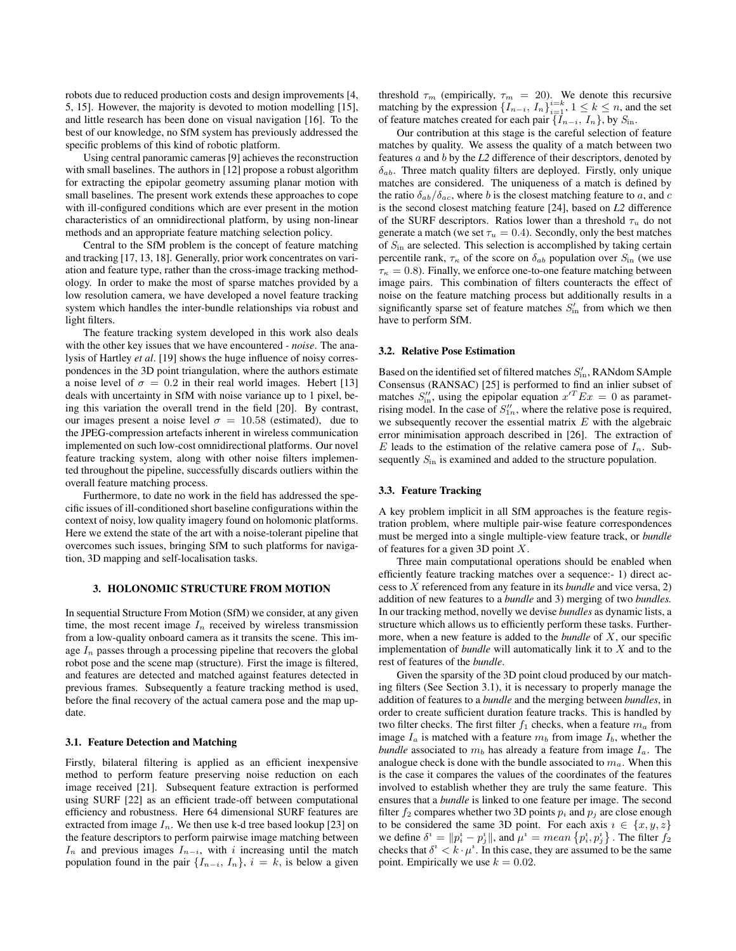robots due to reduced production costs and design improvements [4, 5, 15]. However, the majority is devoted to motion modelling [15], and little research has been done on visual navigation [16]. To the best of our knowledge, no SfM system has previously addressed the specific problems of this kind of robotic platform.

Using central panoramic cameras [9] achieves the reconstruction with small baselines. The authors in [12] propose a robust algorithm for extracting the epipolar geometry assuming planar motion with small baselines. The present work extends these approaches to cope with ill-configured conditions which are ever present in the motion characteristics of an omnidirectional platform, by using non-linear methods and an appropriate feature matching selection policy.

Central to the SfM problem is the concept of feature matching and tracking [17, 13, 18]. Generally, prior work concentrates on variation and feature type, rather than the cross-image tracking methodology. In order to make the most of sparse matches provided by a low resolution camera, we have developed a novel feature tracking system which handles the inter-bundle relationships via robust and light filters.

The feature tracking system developed in this work also deals with the other key issues that we have encountered *- noise*. The analysis of Hartley *et al*. [19] shows the huge influence of noisy correspondences in the 3D point triangulation, where the authors estimate a noise level of  $\sigma = 0.2$  in their real world images. Hebert [13] deals with uncertainty in SfM with noise variance up to 1 pixel, being this variation the overall trend in the field [20]. By contrast, our images present a noise level  $\sigma = 10.58$  (estimated), due to the JPEG-compression artefacts inherent in wireless communication implemented on such low-cost omnidirectional platforms. Our novel feature tracking system, along with other noise filters implemented throughout the pipeline, successfully discards outliers within the overall feature matching process.

Furthermore, to date no work in the field has addressed the specific issues of ill-conditioned short baseline configurations within the context of noisy, low quality imagery found on holomonic platforms. Here we extend the state of the art with a noise-tolerant pipeline that overcomes such issues, bringing SfM to such platforms for navigation, 3D mapping and self-localisation tasks.

#### 3. HOLONOMIC STRUCTURE FROM MOTION

In sequential Structure From Motion (SfM) we consider, at any given time, the most recent image  $I_n$  received by wireless transmission from a low-quality onboard camera as it transits the scene. This image  $I_n$  passes through a processing pipeline that recovers the global robot pose and the scene map (structure). First the image is filtered, and features are detected and matched against features detected in previous frames. Subsequently a feature tracking method is used, before the final recovery of the actual camera pose and the map update.

#### 3.1. Feature Detection and Matching

Firstly, bilateral filtering is applied as an efficient inexpensive method to perform feature preserving noise reduction on each image received [21]. Subsequent feature extraction is performed using SURF [22] as an efficient trade-off between computational efficiency and robustness. Here 64 dimensional SURF features are extracted from image  $I_n$ . We then use k-d tree based lookup [23] on the feature descriptors to perform pairwise image matching between  $I_n$  and previous images  $I_{n-i}$ , with i increasing until the match population found in the pair  $\{I_{n-i}, I_n\}$ ,  $i = k$ , is below a given

threshold  $\tau_m$  (empirically,  $\tau_m = 20$ ). We denote this recursive matching by the expression  $\{I_{n-i}, I_n\}_{i=1}^{i=k}, 1 \leq k \leq n$ , and the set of feature matches created for each pair  $\{I_{n-i}, I_n\}$ , by  $S_{\text{in}}$ .

Our contribution at this stage is the careful selection of feature matches by quality. We assess the quality of a match between two features a and b by the *L2* difference of their descriptors, denoted by  $\delta_{ab}$ . Three match quality filters are deployed. Firstly, only unique matches are considered. The uniqueness of a match is defined by the ratio  $\delta_{ab}/\delta_{ac}$ , where b is the closest matching feature to a, and c is the second closest matching feature [24], based on *L2* difference of the SURF descriptors. Ratios lower than a threshold  $\tau_u$  do not generate a match (we set  $\tau_u = 0.4$ ). Secondly, only the best matches of  $S_{\text{in}}$  are selected. This selection is accomplished by taking certain percentile rank,  $\tau_{\kappa}$  of the score on  $\delta_{ab}$  population over  $S_{\text{in}}$  (we use  $\tau_{\kappa} = 0.8$ ). Finally, we enforce one-to-one feature matching between image pairs. This combination of filters counteracts the effect of noise on the feature matching process but additionally results in a significantly sparse set of feature matches  $S'_{in}$  from which we then have to perform SfM.

#### 3.2. Relative Pose Estimation

Based on the identified set of filtered matches  $S'_{\text{in}}$ , RANdom SAmple Consensus (RANSAC) [25] is performed to find an inlier subset of matches  $S_{\text{in}}''$ , using the epipolar equation  $x'^T E x = 0$  as parametrising model. In the case of  $S''_{1n}$ , where the relative pose is required, we subsequently recover the essential matrix  $E$  with the algebraic error minimisation approach described in [26]. The extraction of E leads to the estimation of the relative camera pose of  $I_n$ . Subsequently  $S_{\text{in}}$  is examined and added to the structure population.

#### 3.3. Feature Tracking

A key problem implicit in all SfM approaches is the feature registration problem, where multiple pair-wise feature correspondences must be merged into a single multiple-view feature track, or *bundle* of features for a given 3D point  $X$ .

Three main computational operations should be enabled when efficiently feature tracking matches over a sequence:- 1) direct access to X referenced from any feature in its *bundle* and vice versa, 2) addition of new features to a *bundle* and 3) merging of two *bundles.* In our tracking method, novelly we devise *bundles* as dynamic lists, a structure which allows us to efficiently perform these tasks. Furthermore, when a new feature is added to the *bundle* of X, our specific implementation of *bundle* will automatically link it to X and to the rest of features of the *bundle*.

Given the sparsity of the 3D point cloud produced by our matching filters (See Section 3.1), it is necessary to properly manage the addition of features to a *bundle* and the merging between *bundles*, in order to create sufficient duration feature tracks. This is handled by two filter checks. The first filter  $f_1$  checks, when a feature  $m_a$  from image  $I_a$  is matched with a feature  $m_b$  from image  $I_b$ , whether the *bundle* associated to  $m_b$  has already a feature from image  $I_a$ . The analogue check is done with the bundle associated to  $m_a$ . When this is the case it compares the values of the coordinates of the features involved to establish whether they are truly the same feature. This ensures that a *bundle* is linked to one feature per image. The second filter  $f_2$  compares whether two 3D points  $p_i$  and  $p_j$  are close enough to be considered the same 3D point. For each axis  $i \in \{x, y, z\}$ we define  $\delta^i = ||p_i^i - p_j^i||$ , and  $\mu^i = mean \{p_i^i, p_j^i\}$ . The filter  $f_2$ checks that  $\delta^i < k \cdot \mu^i$ . In this case, they are assumed to be the same point. Empirically we use  $k = 0.02$ .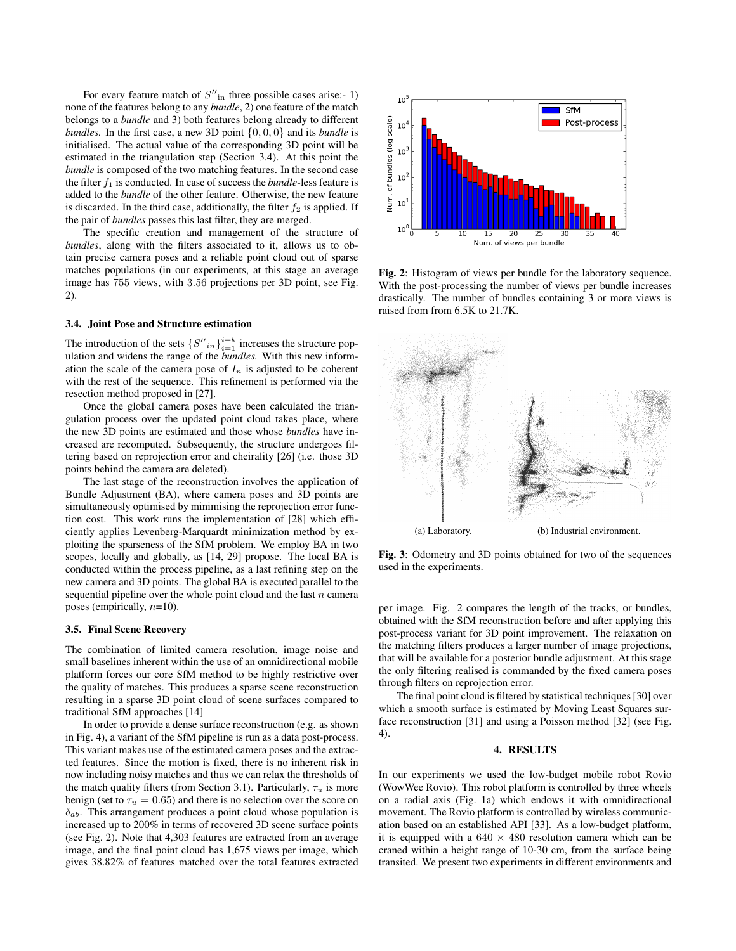For every feature match of  $S''_{\text{in}}$  three possible cases arise:- 1) none of the features belong to any *bundle*, 2) one feature of the match belongs to a *bundle* and 3) both features belong already to different *bundles.* In the first case, a new 3D point {0, 0, 0} and its *bundle* is initialised. The actual value of the corresponding 3D point will be estimated in the triangulation step (Section 3.4). At this point the *bundle* is composed of the two matching features. In the second case the filter  $f_1$  is conducted. In case of success the *bundle*-less feature is added to the *bundle* of the other feature. Otherwise, the new feature is discarded. In the third case, additionally, the filter  $f_2$  is applied. If the pair of *bundles* passes this last filter, they are merged.

The specific creation and management of the structure of *bundles*, along with the filters associated to it, allows us to obtain precise camera poses and a reliable point cloud out of sparse matches populations (in our experiments, at this stage an average image has 755 views, with 3.56 projections per 3D point, see Fig. 2).

# 3.4. Joint Pose and Structure estimation

The introduction of the sets  $\left\{S''_{in}\right\}_{i=1}^{i=k}$  increases the structure population and widens the range of the *bundles.* With this new information the scale of the camera pose of  $I_n$  is adjusted to be coherent with the rest of the sequence. This refinement is performed via the resection method proposed in [27].

Once the global camera poses have been calculated the triangulation process over the updated point cloud takes place, where the new 3D points are estimated and those whose *bundles* have increased are recomputed. Subsequently, the structure undergoes filtering based on reprojection error and cheirality [26] (i.e. those 3D points behind the camera are deleted).

The last stage of the reconstruction involves the application of Bundle Adjustment (BA), where camera poses and 3D points are simultaneously optimised by minimising the reprojection error function cost. This work runs the implementation of [28] which efficiently applies Levenberg-Marquardt minimization method by exploiting the sparseness of the SfM problem. We employ BA in two scopes, locally and globally, as [14, 29] propose. The local BA is conducted within the process pipeline, as a last refining step on the new camera and 3D points. The global BA is executed parallel to the sequential pipeline over the whole point cloud and the last  $n$  camera poses (empirically,  $n=10$ ).

#### 3.5. Final Scene Recovery

The combination of limited camera resolution, image noise and small baselines inherent within the use of an omnidirectional mobile platform forces our core SfM method to be highly restrictive over the quality of matches. This produces a sparse scene reconstruction resulting in a sparse 3D point cloud of scene surfaces compared to traditional SfM approaches [14]

In order to provide a dense surface reconstruction (e.g. as shown in Fig. 4), a variant of the SfM pipeline is run as a data post-process. This variant makes use of the estimated camera poses and the extracted features. Since the motion is fixed, there is no inherent risk in now including noisy matches and thus we can relax the thresholds of the match quality filters (from Section 3.1). Particularly,  $\tau_u$  is more benign (set to  $\tau_u = 0.65$ ) and there is no selection over the score on  $\delta_{ab}$ . This arrangement produces a point cloud whose population is increased up to 200% in terms of recovered 3D scene surface points (see Fig. 2). Note that 4,303 features are extracted from an average image, and the final point cloud has 1,675 views per image, which gives 38.82% of features matched over the total features extracted



Fig. 2: Histogram of views per bundle for the laboratory sequence. With the post-processing the number of views per bundle increases drastically. The number of bundles containing 3 or more views is raised from from 6.5K to 21.7K.



Fig. 3: Odometry and 3D points obtained for two of the sequences used in the experiments.

per image. Fig. 2 compares the length of the tracks, or bundles, obtained with the SfM reconstruction before and after applying this post-process variant for 3D point improvement. The relaxation on the matching filters produces a larger number of image projections, that will be available for a posterior bundle adjustment. At this stage the only filtering realised is commanded by the fixed camera poses through filters on reprojection error.

The final point cloud is filtered by statistical techniques [30] over which a smooth surface is estimated by Moving Least Squares surface reconstruction [31] and using a Poisson method [32] (see Fig. 4).

#### 4. RESULTS

In our experiments we used the low-budget mobile robot Rovio (WowWee Rovio). This robot platform is controlled by three wheels on a radial axis (Fig. 1a) which endows it with omnidirectional movement. The Rovio platform is controlled by wireless communication based on an established API [33]. As a low-budget platform, it is equipped with a  $640 \times 480$  resolution camera which can be craned within a height range of 10-30 cm, from the surface being transited. We present two experiments in different environments and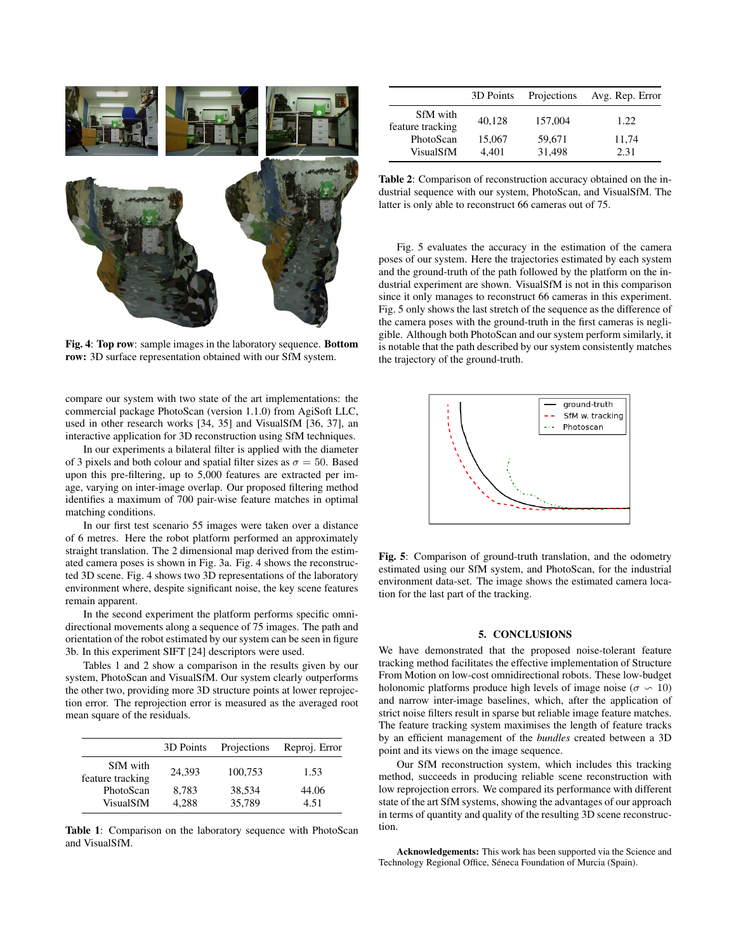

Fig. 4: Top row: sample images in the laboratory sequence. Bottom row: 3D surface representation obtained with our SfM system.

compare our system with two state of the art implementations: the commercial package PhotoScan (version 1.1.0) from AgiSoft LLC, used in other research works [34, 35] and VisualSfM [36, 37], an interactive application for 3D reconstruction using SfM techniques.

In our experiments a bilateral filter is applied with the diameter of 3 pixels and both colour and spatial filter sizes as  $\sigma = 50$ . Based upon this pre-filtering, up to 5,000 features are extracted per image, varying on inter-image overlap. Our proposed filtering method identifies a maximum of 700 pair-wise feature matches in optimal matching conditions.

In our first test scenario 55 images were taken over a distance of 6 metres. Here the robot platform performed an approximately straight translation. The 2 dimensional map derived from the estimated camera poses is shown in Fig. 3a. Fig. 4 shows the reconstructed 3D scene. Fig. 4 shows two 3D representations of the laboratory environment where, despite significant noise, the key scene features remain apparent.

In the second experiment the platform performs specific omnidirectional movements along a sequence of 75 images. The path and orientation of the robot estimated by our system can be seen in figure 3b. In this experiment SIFT [24] descriptors were used.

Tables 1 and 2 show a comparison in the results given by our system, PhotoScan and VisualSfM. Our system clearly outperforms the other two, providing more 3D structure points at lower reprojection error. The reprojection error is measured as the averaged root mean square of the residuals.

|                               | 3D Points      | Projections      | Reproj. Error |
|-------------------------------|----------------|------------------|---------------|
| SfM with<br>feature tracking  | 24.393         | 100,753          | 1.53          |
| PhotoScan<br><b>VisualSfM</b> | 8,783<br>4.288 | 38,534<br>35,789 | 44.06<br>4.51 |

Table 1: Comparison on the laboratory sequence with PhotoScan and VisualSfM.

|                               | 3D Points       | Projections      | Avg. Rep. Error |
|-------------------------------|-----------------|------------------|-----------------|
| SfM with<br>feature tracking  | 40,128          | 157,004          | 1.22.           |
| PhotoScan<br><b>VisualSfM</b> | 15,067<br>4.401 | 59,671<br>31,498 | 11,74<br>2.31   |

Table 2: Comparison of reconstruction accuracy obtained on the industrial sequence with our system, PhotoScan, and VisualSfM. The latter is only able to reconstruct 66 cameras out of 75.

Fig. 5 evaluates the accuracy in the estimation of the camera poses of our system. Here the trajectories estimated by each system and the ground-truth of the path followed by the platform on the industrial experiment are shown. VisualSfM is not in this comparison since it only manages to reconstruct 66 cameras in this experiment. Fig. 5 only shows the last stretch of the sequence as the difference of the camera poses with the ground-truth in the first cameras is negligible. Although both PhotoScan and our system perform similarly, it is notable that the path described by our system consistently matches the trajectory of the ground-truth.



Fig. 5: Comparison of ground-truth translation, and the odometry estimated using our SfM system, and PhotoScan, for the industrial environment data-set. The image shows the estimated camera location for the last part of the tracking.

### 5. CONCLUSIONS

We have demonstrated that the proposed noise-tolerant feature tracking method facilitates the effective implementation of Structure From Motion on low-cost omnidirectional robots. These low-budget holonomic platforms produce high levels of image noise ( $\sigma \sim 10$ ) and narrow inter-image baselines, which, after the application of strict noise filters result in sparse but reliable image feature matches. The feature tracking system maximises the length of feature tracks by an efficient management of the *bundles* created between a 3D point and its views on the image sequence.

Our SfM reconstruction system, which includes this tracking method, succeeds in producing reliable scene reconstruction with low reprojection errors. We compared its performance with different state of the art SfM systems, showing the advantages of our approach in terms of quantity and quality of the resulting 3D scene reconstruction.

Acknowledgements: This work has been supported via the Science and Technology Regional Office, Séneca Foundation of Murcia (Spain).